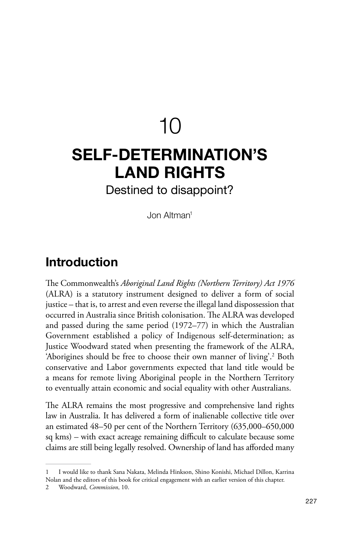# $1<sub>0</sub>$

## **SELF-DETERMINATION'S LAND RIGHTS**

Destined to disappoint?

Jon Altman1

#### **Introduction**

The Commonwealth's *Aboriginal Land Rights (Northern Territory) Act 1976* (ALRA) is a statutory instrument designed to deliver a form of social justice – that is, to arrest and even reverse the illegal land dispossession that occurred in Australia since British colonisation. The ALRA was developed and passed during the same period (1972–77) in which the Australian Government established a policy of Indigenous self-determination; as Justice Woodward stated when presenting the framework of the ALRA, 'Aborigines should be free to choose their own manner of living'.<sup>2</sup> Both conservative and Labor governments expected that land title would be a means for remote living Aboriginal people in the Northern Territory to eventually attain economic and social equality with other Australians.

The ALRA remains the most progressive and comprehensive land rights law in Australia. It has delivered a form of inalienable collective title over an estimated 48–50 per cent of the Northern Territory (635,000–650,000 sq kms) – with exact acreage remaining difficult to calculate because some claims are still being legally resolved. Ownership of land has afforded many

<sup>1</sup> I would like to thank Sana Nakata, Melinda Hinkson, Shino Konishi, Michael Dillon, Karrina Nolan and the editors of this book for critical engagement with an earlier version of this chapter.

<sup>2</sup> Woodward, *Commission*, 10.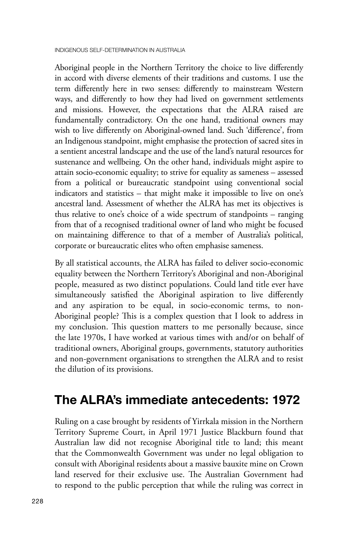Aboriginal people in the Northern Territory the choice to live differently in accord with diverse elements of their traditions and customs. I use the term differently here in two senses: differently to mainstream Western ways, and differently to how they had lived on government settlements and missions. However, the expectations that the ALRA raised are fundamentally contradictory. On the one hand, traditional owners may wish to live differently on Aboriginal-owned land. Such 'difference', from an Indigenous standpoint, might emphasise the protection of sacred sites in a sentient ancestral landscape and the use of the land's natural resources for sustenance and wellbeing. On the other hand, individuals might aspire to attain socio-economic equality; to strive for equality as sameness – assessed from a political or bureaucratic standpoint using conventional social indicators and statistics – that might make it impossible to live on one's ancestral land. Assessment of whether the ALRA has met its objectives is thus relative to one's choice of a wide spectrum of standpoints – ranging from that of a recognised traditional owner of land who might be focused on maintaining difference to that of a member of Australia's political, corporate or bureaucratic elites who often emphasise sameness.

By all statistical accounts, the ALRA has failed to deliver socio-economic equality between the Northern Territory's Aboriginal and non-Aboriginal people, measured as two distinct populations. Could land title ever have simultaneously satisfied the Aboriginal aspiration to live differently and any aspiration to be equal, in socio-economic terms, to non-Aboriginal people? This is a complex question that I look to address in my conclusion. This question matters to me personally because, since the late 1970s, I have worked at various times with and/or on behalf of traditional owners, Aboriginal groups, governments, statutory authorities and non-government organisations to strengthen the ALRA and to resist the dilution of its provisions.

### **The ALRA's immediate antecedents: 1972**

Ruling on a case brought by residents of Yirrkala mission in the Northern Territory Supreme Court, in April 1971 Justice Blackburn found that Australian law did not recognise Aboriginal title to land; this meant that the Commonwealth Government was under no legal obligation to consult with Aboriginal residents about a massive bauxite mine on Crown land reserved for their exclusive use. The Australian Government had to respond to the public perception that while the ruling was correct in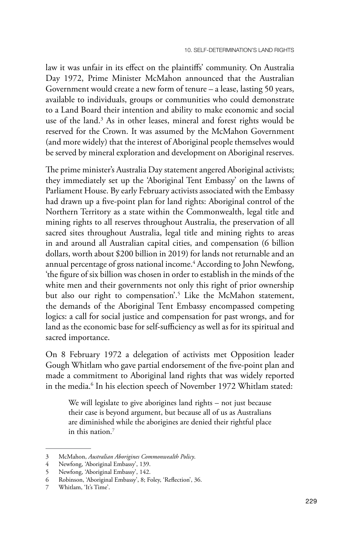law it was unfair in its effect on the plaintiffs' community. On Australia Day 1972, Prime Minister McMahon announced that the Australian Government would create a new form of tenure – a lease, lasting 50 years, available to individuals, groups or communities who could demonstrate to a Land Board their intention and ability to make economic and social use of the land.3 As in other leases, mineral and forest rights would be reserved for the Crown. It was assumed by the McMahon Government (and more widely) that the interest of Aboriginal people themselves would be served by mineral exploration and development on Aboriginal reserves.

The prime minister's Australia Day statement angered Aboriginal activists; they immediately set up the 'Aboriginal Tent Embassy' on the lawns of Parliament House. By early February activists associated with the Embassy had drawn up a five-point plan for land rights: Aboriginal control of the Northern Territory as a state within the Commonwealth, legal title and mining rights to all reserves throughout Australia, the preservation of all sacred sites throughout Australia, legal title and mining rights to areas in and around all Australian capital cities, and compensation (6 billion dollars, worth about \$200 billion in 2019) for lands not returnable and an annual percentage of gross national income.<sup>4</sup> According to John Newfong, 'the figure of six billion was chosen in order to establish in the minds of the white men and their governments not only this right of prior ownership but also our right to compensation'.<sup>5</sup> Like the McMahon statement, the demands of the Aboriginal Tent Embassy encompassed competing logics: a call for social justice and compensation for past wrongs, and for land as the economic base for self-sufficiency as well as for its spiritual and sacred importance.

On 8 February 1972 a delegation of activists met Opposition leader Gough Whitlam who gave partial endorsement of the five-point plan and made a commitment to Aboriginal land rights that was widely reported in the media.<sup>6</sup> In his election speech of November 1972 Whitlam stated:

We will legislate to give aborigines land rights – not just because their case is beyond argument, but because all of us as Australians are diminished while the aborigines are denied their rightful place in this nation.7

<sup>3</sup> McMahon, *Australian Aborigines Commonwealth Policy*.

Newfong, 'Aboriginal Embassy', 139.

<sup>5</sup> Newfong, 'Aboriginal Embassy', 142.<br>6 Robinson, 'Aboriginal Embassy', 8: Fe

<sup>6</sup> Robinson, 'Aboriginal Embassy', 8; Foley, 'Reflection', 36.

Whitlam, 'It's Time'.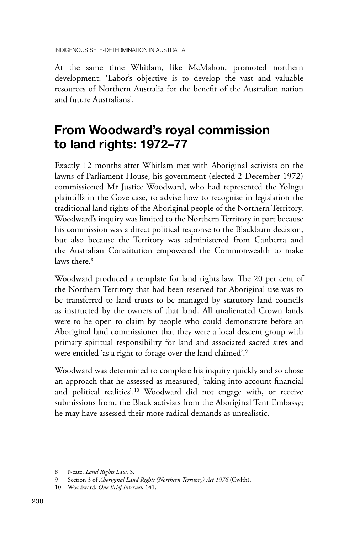At the same time Whitlam, like McMahon, promoted northern development: 'Labor's objective is to develop the vast and valuable resources of Northern Australia for the benefit of the Australian nation and future Australians'.

### **From Woodward's royal commission to land rights: 1972–77**

Exactly 12 months after Whitlam met with Aboriginal activists on the lawns of Parliament House, his government (elected 2 December 1972) commissioned Mr Justice Woodward, who had represented the Yolngu plaintiffs in the Gove case, to advise how to recognise in legislation the traditional land rights of the Aboriginal people of the Northern Territory. Woodward's inquiry was limited to the Northern Territory in part because his commission was a direct political response to the Blackburn decision, but also because the Territory was administered from Canberra and the Australian Constitution empowered the Commonwealth to make laws there.<sup>8</sup>

Woodward produced a template for land rights law. The 20 per cent of the Northern Territory that had been reserved for Aboriginal use was to be transferred to land trusts to be managed by statutory land councils as instructed by the owners of that land. All unalienated Crown lands were to be open to claim by people who could demonstrate before an Aboriginal land commissioner that they were a local descent group with primary spiritual responsibility for land and associated sacred sites and were entitled 'as a right to forage over the land claimed'.9

Woodward was determined to complete his inquiry quickly and so chose an approach that he assessed as measured, 'taking into account financial and political realities'.10 Woodward did not engage with, or receive submissions from, the Black activists from the Aboriginal Tent Embassy; he may have assessed their more radical demands as unrealistic.

<sup>8</sup> Neate, *Land Rights Law*, 3.

<sup>9</sup> Section 3 of *Aboriginal Land Rights (Northern Territory) Act 1976* (Cwlth).

<sup>10</sup> Woodward, *One Brief Interval*, 141.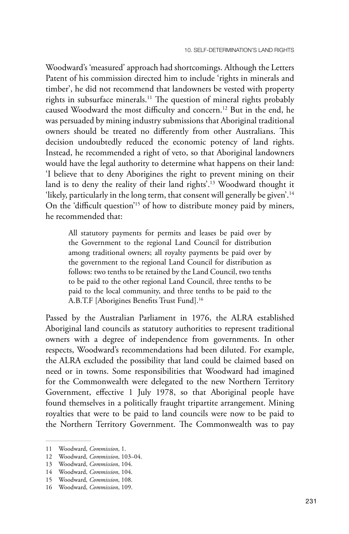Woodward's 'measured' approach had shortcomings. Although the Letters Patent of his commission directed him to include 'rights in minerals and timber', he did not recommend that landowners be vested with property rights in subsurface minerals.11 The question of mineral rights probably caused Woodward the most difficulty and concern.12 But in the end, he was persuaded by mining industry submissions that Aboriginal traditional owners should be treated no differently from other Australians. This decision undoubtedly reduced the economic potency of land rights. Instead, he recommended a right of veto, so that Aboriginal landowners would have the legal authority to determine what happens on their land: 'I believe that to deny Aborigines the right to prevent mining on their land is to deny the reality of their land rights'.13 Woodward thought it 'likely, particularly in the long term, that consent will generally be given'.14 On the 'difficult question'15 of how to distribute money paid by miners, he recommended that:

All statutory payments for permits and leases be paid over by the Government to the regional Land Council for distribution among traditional owners; all royalty payments be paid over by the government to the regional Land Council for distribution as follows: two tenths to be retained by the Land Council, two tenths to be paid to the other regional Land Council, three tenths to be paid to the local community, and three tenths to be paid to the A.B.T.F [Aborigines Benefits Trust Fund].16

Passed by the Australian Parliament in 1976, the ALRA established Aboriginal land councils as statutory authorities to represent traditional owners with a degree of independence from governments. In other respects, Woodward's recommendations had been diluted. For example, the ALRA excluded the possibility that land could be claimed based on need or in towns. Some responsibilities that Woodward had imagined for the Commonwealth were delegated to the new Northern Territory Government, effective 1 July 1978, so that Aboriginal people have found themselves in a politically fraught tripartite arrangement. Mining royalties that were to be paid to land councils were now to be paid to the Northern Territory Government. The Commonwealth was to pay

<sup>11</sup> Woodward, *Commission*, 1.

<sup>12</sup> Woodward, *Commission*, 103–04.

<sup>13</sup> Woodward, *Commission*, 104.

<sup>14</sup> Woodward, *Commission*, 104.

<sup>15</sup> Woodward, *Commission*, 108.

<sup>16</sup> Woodward, *Commission*, 109.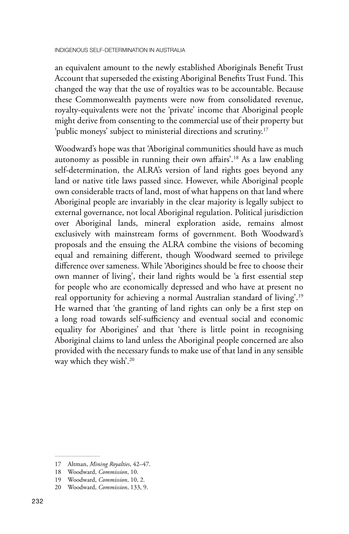an equivalent amount to the newly established Aboriginals Benefit Trust Account that superseded the existing Aboriginal Benefits Trust Fund. This changed the way that the use of royalties was to be accountable. Because these Commonwealth payments were now from consolidated revenue, royalty-equivalents were not the 'private' income that Aboriginal people might derive from consenting to the commercial use of their property but 'public moneys' subject to ministerial directions and scrutiny.<sup>17</sup>

Woodward's hope was that 'Aboriginal communities should have as much autonomy as possible in running their own affairs'.18 As a law enabling self-determination, the ALRA's version of land rights goes beyond any land or native title laws passed since. However, while Aboriginal people own considerable tracts of land, most of what happens on that land where Aboriginal people are invariably in the clear majority is legally subject to external governance, not local Aboriginal regulation. Political jurisdiction over Aboriginal lands, mineral exploration aside, remains almost exclusively with mainstream forms of government. Both Woodward's proposals and the ensuing the ALRA combine the visions of becoming equal and remaining different, though Woodward seemed to privilege difference over sameness. While 'Aborigines should be free to choose their own manner of living', their land rights would be 'a first essential step for people who are economically depressed and who have at present no real opportunity for achieving a normal Australian standard of living'.19 He warned that 'the granting of land rights can only be a first step on a long road towards self-sufficiency and eventual social and economic equality for Aborigines' and that 'there is little point in recognising Aboriginal claims to land unless the Aboriginal people concerned are also provided with the necessary funds to make use of that land in any sensible way which they wish'.20

<sup>17</sup> Altman, *Mining Royalties*, 42–47.

<sup>18</sup> Woodward, *Commission*, 10.

<sup>19</sup> Woodward, *Commission*, 10, 2.

<sup>20</sup> Woodward, *Commission*, 133, 9.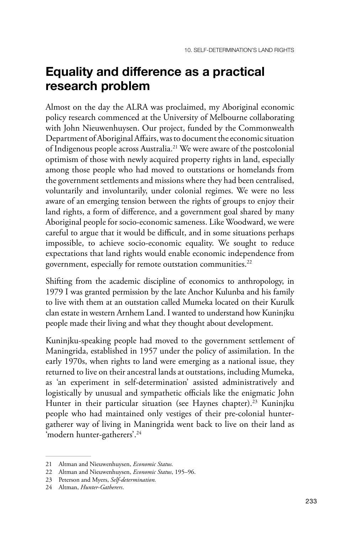### **Equality and difference as a practical research problem**

Almost on the day the ALRA was proclaimed, my Aboriginal economic policy research commenced at the University of Melbourne collaborating with John Nieuwenhuysen. Our project, funded by the Commonwealth Department of Aboriginal Affairs, was to document the economic situation of Indigenous people across Australia.21 We were aware of the postcolonial optimism of those with newly acquired property rights in land, especially among those people who had moved to outstations or homelands from the government settlements and missions where they had been centralised, voluntarily and involuntarily, under colonial regimes. We were no less aware of an emerging tension between the rights of groups to enjoy their land rights, a form of difference, and a government goal shared by many Aboriginal people for socio-economic sameness. Like Woodward, we were careful to argue that it would be difficult, and in some situations perhaps impossible, to achieve socio-economic equality. We sought to reduce expectations that land rights would enable economic independence from government, especially for remote outstation communities.<sup>22</sup>

Shifting from the academic discipline of economics to anthropology, in 1979 I was granted permission by the late Anchor Kulunba and his family to live with them at an outstation called Mumeka located on their Kurulk clan estate in western Arnhem Land. I wanted to understand how Kuninjku people made their living and what they thought about development.

Kuninjku-speaking people had moved to the government settlement of Maningrida, established in 1957 under the policy of assimilation. In the early 1970s, when rights to land were emerging as a national issue, they returned to live on their ancestral lands at outstations, including Mumeka, as 'an experiment in self-determination' assisted administratively and logistically by unusual and sympathetic officials like the enigmatic John Hunter in their particular situation (see Haynes chapter).<sup>23</sup> Kuninjku people who had maintained only vestiges of their pre-colonial huntergatherer way of living in Maningrida went back to live on their land as 'modern hunter-gatherers'.24

<sup>21</sup> Altman and Nieuwenhuysen, *Economic Status.*

<sup>22</sup> Altman and Nieuwenhuysen, *Economic Status*, 195–96.

<sup>23</sup> Peterson and Myers, *Self-determination.*

<sup>24</sup> Altman, *Hunter-Gatherers*.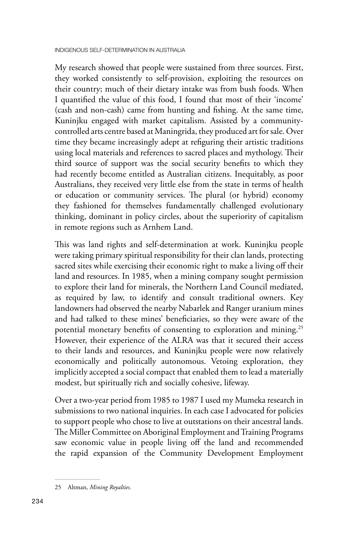My research showed that people were sustained from three sources. First, they worked consistently to self-provision, exploiting the resources on their country; much of their dietary intake was from bush foods. When I quantified the value of this food, I found that most of their 'income' (cash and non-cash) came from hunting and fishing. At the same time, Kuninjku engaged with market capitalism. Assisted by a communitycontrolled arts centre based at Maningrida, they produced art for sale. Over time they became increasingly adept at refiguring their artistic traditions using local materials and references to sacred places and mythology. Their third source of support was the social security benefits to which they had recently become entitled as Australian citizens. Inequitably, as poor Australians, they received very little else from the state in terms of health or education or community services. The plural (or hybrid) economy they fashioned for themselves fundamentally challenged evolutionary thinking, dominant in policy circles, about the superiority of capitalism in remote regions such as Arnhem Land.

This was land rights and self-determination at work. Kuninjku people were taking primary spiritual responsibility for their clan lands, protecting sacred sites while exercising their economic right to make a living off their land and resources. In 1985, when a mining company sought permission to explore their land for minerals, the Northern Land Council mediated, as required by law, to identify and consult traditional owners. Key landowners had observed the nearby Nabarlek and Ranger uranium mines and had talked to these mines' beneficiaries, so they were aware of the potential monetary benefits of consenting to exploration and mining.25 However, their experience of the ALRA was that it secured their access to their lands and resources, and Kuninjku people were now relatively economically and politically autonomous. Vetoing exploration, they implicitly accepted a social compact that enabled them to lead a materially modest, but spiritually rich and socially cohesive, lifeway.

Over a two-year period from 1985 to 1987 I used my Mumeka research in submissions to two national inquiries. In each case I advocated for policies to support people who chose to live at outstations on their ancestral lands. The Miller Committee on Aboriginal Employment and Training Programs saw economic value in people living off the land and recommended the rapid expansion of the Community Development Employment

<sup>25</sup> Altman, *Mining Royalties.*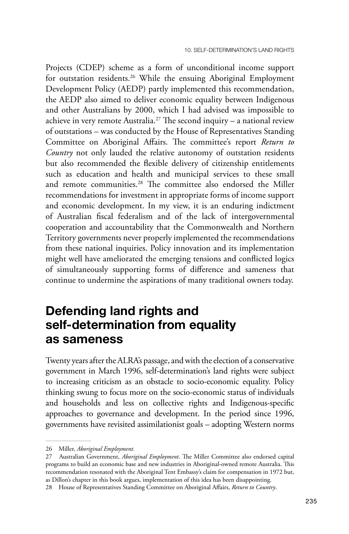Projects (CDEP) scheme as a form of unconditional income support for outstation residents.<sup>26</sup> While the ensuing Aboriginal Employment Development Policy (AEDP) partly implemented this recommendation, the AEDP also aimed to deliver economic equality between Indigenous and other Australians by 2000, which I had advised was impossible to achieve in very remote Australia.<sup>27</sup> The second inquiry  $-$  a national review of outstations – was conducted by the House of Representatives Standing Committee on Aboriginal Affairs. The committee's report *Return to Country* not only lauded the relative autonomy of outstation residents but also recommended the flexible delivery of citizenship entitlements such as education and health and municipal services to these small and remote communities.28 The committee also endorsed the Miller recommendations for investment in appropriate forms of income support and economic development. In my view, it is an enduring indictment of Australian fiscal federalism and of the lack of intergovernmental cooperation and accountability that the Commonwealth and Northern Territory governments never properly implemented the recommendations from these national inquiries. Policy innovation and its implementation might well have ameliorated the emerging tensions and conflicted logics of simultaneously supporting forms of difference and sameness that continue to undermine the aspirations of many traditional owners today.

#### **Defending land rights and self‑determination from equality as sameness**

Twenty years after the ALRA's passage, and with the election of a conservative government in March 1996, self-determination's land rights were subject to increasing criticism as an obstacle to socio-economic equality. Policy thinking swung to focus more on the socio-economic status of individuals and households and less on collective rights and Indigenous-specific approaches to governance and development. In the period since 1996, governments have revisited assimilationist goals – adopting Western norms

<sup>26</sup> Miller, *Aboriginal Employment.*

<sup>27</sup> Australian Government, *Aboriginal Employment*. The Miller Committee also endorsed capital programs to build an economic base and new industries in Aboriginal-owned remote Australia. This recommendation resonated with the Aboriginal Tent Embassy's claim for compensation in 1972 but, as Dillon's chapter in this book argues, implementation of this idea has been disappointing.

<sup>28</sup> House of Representatives Standing Committee on Aboriginal Affairs, *Return to Country*.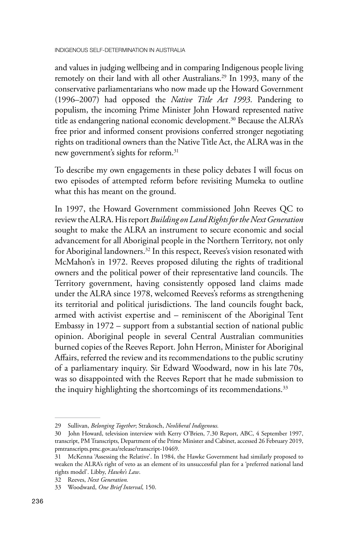and values in judging wellbeing and in comparing Indigenous people living remotely on their land with all other Australians.29 In 1993, many of the conservative parliamentarians who now made up the Howard Government (1996–2007) had opposed the *Native Title Act 1993*. Pandering to populism, the incoming Prime Minister John Howard represented native title as endangering national economic development.<sup>30</sup> Because the ALRA's free prior and informed consent provisions conferred stronger negotiating rights on traditional owners than the Native Title Act, the ALRA was in the new government's sights for reform.<sup>31</sup>

To describe my own engagements in these policy debates I will focus on two episodes of attempted reform before revisiting Mumeka to outline what this has meant on the ground.

In 1997, the Howard Government commissioned John Reeves QC to review the ALRA. His report *Building on Land Rights for the Next Generation* sought to make the ALRA an instrument to secure economic and social advancement for all Aboriginal people in the Northern Territory, not only for Aboriginal landowners.<sup>32</sup> In this respect, Reeves's vision resonated with McMahon's in 1972. Reeves proposed diluting the rights of traditional owners and the political power of their representative land councils. The Territory government, having consistently opposed land claims made under the ALRA since 1978, welcomed Reeves's reforms as strengthening its territorial and political jurisdictions. The land councils fought back, armed with activist expertise and – reminiscent of the Aboriginal Tent Embassy in 1972 – support from a substantial section of national public opinion. Aboriginal people in several Central Australian communities burned copies of the Reeves Report. John Herron, Minister for Aboriginal Affairs, referred the review and its recommendations to the public scrutiny of a parliamentary inquiry. Sir Edward Woodward, now in his late 70s, was so disappointed with the Reeves Report that he made submission to the inquiry highlighting the shortcomings of its recommendations.<sup>33</sup>

<sup>29</sup> Sullivan, *Belonging Together*; Strakosch, *Neoliberal Indigenous.*

<sup>30</sup> John Howard, television interview with Kerry O'Brien, 7.30 Report, ABC, 4 September 1997, transcript, PM Transcripts, Department of the Prime Minister and Cabinet, accessed 26 February 2019, [pmtranscripts.pmc.gov.au/release/transcript-10469.](http://pmtranscripts.pmc.gov.au/release/transcript-10469)

<sup>31</sup> McKenna 'Assessing the Relative'. In 1984, the Hawke Government had similarly proposed to weaken the ALRA's right of veto as an element of its unsuccessful plan for a 'preferred national land rights model'. Libby, *Hawke's Law*.

<sup>32</sup> Reeves, *Next Generation.*

<sup>33</sup> Woodward, *One Brief Interval*, 150.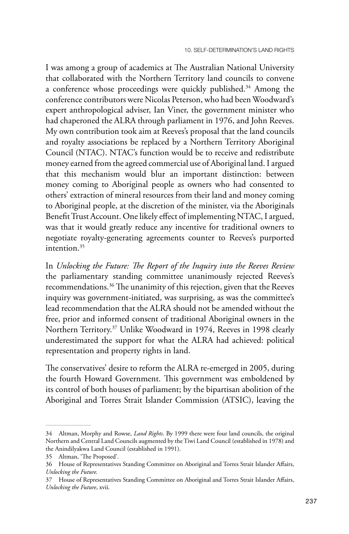I was among a group of academics at The Australian National University that collaborated with the Northern Territory land councils to convene a conference whose proceedings were quickly published.34 Among the conference contributors were Nicolas Peterson, who had been Woodward's expert anthropological adviser, Ian Viner, the government minister who had chaperoned the ALRA through parliament in 1976, and John Reeves. My own contribution took aim at Reeves's proposal that the land councils and royalty associations be replaced by a Northern Territory Aboriginal Council (NTAC). NTAC's function would be to receive and redistribute money earned from the agreed commercial use of Aboriginal land. I argued that this mechanism would blur an important distinction: between money coming to Aboriginal people as owners who had consented to others' extraction of mineral resources from their land and money coming to Aboriginal people, at the discretion of the minister, via the Aboriginals Benefit Trust Account. One likely effect of implementing NTAC, I argued, was that it would greatly reduce any incentive for traditional owners to negotiate royalty-generating agreements counter to Reeves's purported intention.35

In *Unlocking the Future: The Report of the Inquiry into the Reeves Review* the parliamentary standing committee unanimously rejected Reeves's recommendations.36 The unanimity of this rejection, given that the Reeves inquiry was government-initiated, was surprising, as was the committee's lead recommendation that the ALRA should not be amended without the free, prior and informed consent of traditional Aboriginal owners in the Northern Territory.37 Unlike Woodward in 1974, Reeves in 1998 clearly underestimated the support for what the ALRA had achieved: political representation and property rights in land.

The conservatives' desire to reform the ALRA re-emerged in 2005, during the fourth Howard Government. This government was emboldened by its control of both houses of parliament; by the bipartisan abolition of the Aboriginal and Torres Strait Islander Commission (ATSIC), leaving the

<sup>34</sup> Altman, Morphy and Rowse, *Land Rights*. By 1999 there were four land councils, the original Northern and Central Land Councils augmented by the Tiwi Land Council (established in 1978) and the Anindilyakwa Land Council (established in 1991).

<sup>35</sup> Altman, 'The Proposed'.

<sup>36</sup> House of Representatives Standing Committee on Aboriginal and Torres Strait Islander Affairs, *Unlocking the Future.*

<sup>37</sup> House of Representatives Standing Committee on Aboriginal and Torres Strait Islander Affairs, *Unlocking the Future*, xvii.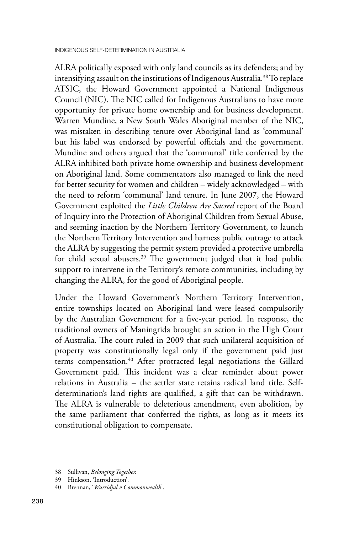ALRA politically exposed with only land councils as its defenders; and by intensifying assault on the institutions of Indigenous Australia.38 To replace ATSIC, the Howard Government appointed a National Indigenous Council (NIC). The NIC called for Indigenous Australians to have more opportunity for private home ownership and for business development. Warren Mundine, a New South Wales Aboriginal member of the NIC, was mistaken in describing tenure over Aboriginal land as 'communal' but his label was endorsed by powerful officials and the government. Mundine and others argued that the 'communal' title conferred by the ALRA inhibited both private home ownership and business development on Aboriginal land. Some commentators also managed to link the need for better security for women and children – widely acknowledged – with the need to reform 'communal' land tenure. In June 2007, the Howard Government exploited the *Little Children Are Sacred* report of the Board of Inquiry into the Protection of Aboriginal Children from Sexual Abuse, and seeming inaction by the Northern Territory Government, to launch the Northern Territory Intervention and harness public outrage to attack the ALRA by suggesting the permit system provided a protective umbrella for child sexual abusers.39 The government judged that it had public support to intervene in the Territory's remote communities, including by changing the ALRA, for the good of Aboriginal people.

Under the Howard Government's Northern Territory Intervention, entire townships located on Aboriginal land were leased compulsorily by the Australian Government for a five-year period. In response, the traditional owners of Maningrida brought an action in the High Court of Australia. The court ruled in 2009 that such unilateral acquisition of property was constitutionally legal only if the government paid just terms compensation.<sup>40</sup> After protracted legal negotiations the Gillard Government paid. This incident was a clear reminder about power relations in Australia – the settler state retains radical land title. Selfdetermination's land rights are qualified, a gift that can be withdrawn. The ALRA is vulnerable to deleterious amendment, even abolition, by the same parliament that conferred the rights, as long as it meets its constitutional obligation to compensate.

<sup>38</sup> Sullivan, *Belonging Together.*

<sup>39</sup> Hinkson, 'Introduction'.

<sup>40</sup> Brennan, '*Wurridjal v Commonwealth*'.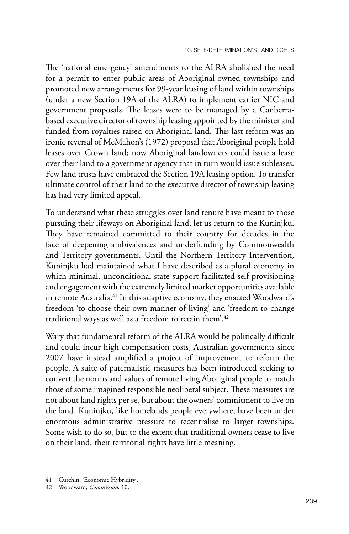The 'national emergency' amendments to the ALRA abolished the need for a permit to enter public areas of Aboriginal-owned townships and promoted new arrangements for 99-year leasing of land within townships (under a new Section 19A of the ALRA) to implement earlier NIC and government proposals. The leases were to be managed by a Canberrabased executive director of township leasing appointed by the minister and funded from royalties raised on Aboriginal land. This last reform was an ironic reversal of McMahon's (1972) proposal that Aboriginal people hold leases over Crown land; now Aboriginal landowners could issue a lease over their land to a government agency that in turn would issue subleases. Few land trusts have embraced the Section 19A leasing option. To transfer ultimate control of their land to the executive director of township leasing has had very limited appeal.

To understand what these struggles over land tenure have meant to those pursuing their lifeways on Aboriginal land, let us return to the Kuninjku. They have remained committed to their country for decades in the face of deepening ambivalences and underfunding by Commonwealth and Territory governments. Until the Northern Territory Intervention, Kuninjku had maintained what I have described as a plural economy in which minimal, unconditional state support facilitated self-provisioning and engagement with the extremely limited market opportunities available in remote Australia.<sup>41</sup> In this adaptive economy, they enacted Woodward's freedom 'to choose their own manner of living' and 'freedom to change traditional ways as well as a freedom to retain them'.<sup>42</sup>

Wary that fundamental reform of the ALRA would be politically difficult and could incur high compensation costs, Australian governments since 2007 have instead amplified a project of improvement to reform the people. A suite of paternalistic measures has been introduced seeking to convert the norms and values of remote living Aboriginal people to match those of some imagined responsible neoliberal subject. These measures are not about land rights per se, but about the owners' commitment to live on the land. Kuninjku, like homelands people everywhere, have been under enormous administrative pressure to recentralise to larger townships. Some wish to do so, but to the extent that traditional owners cease to live on their land, their territorial rights have little meaning.

<sup>41</sup> Curchin, 'Economic Hybridity'.

<sup>42</sup> Woodward, *Commission*, 10.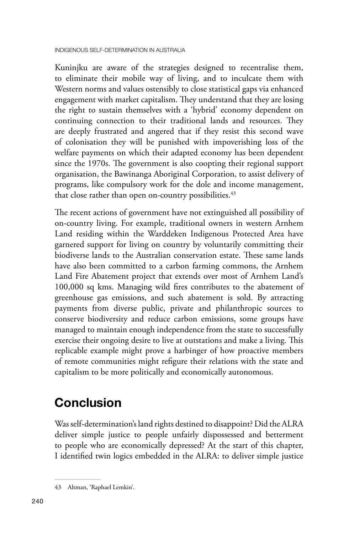Kuninjku are aware of the strategies designed to recentralise them, to eliminate their mobile way of living, and to inculcate them with Western norms and values ostensibly to close statistical gaps via enhanced engagement with market capitalism. They understand that they are losing the right to sustain themselves with a 'hybrid' economy dependent on continuing connection to their traditional lands and resources. They are deeply frustrated and angered that if they resist this second wave of colonisation they will be punished with impoverishing loss of the welfare payments on which their adapted economy has been dependent since the 1970s. The government is also coopting their regional support organisation, the Bawinanga Aboriginal Corporation, to assist delivery of programs, like compulsory work for the dole and income management, that close rather than open on-country possibilities.<sup>43</sup>

The recent actions of government have not extinguished all possibility of on-country living. For example, traditional owners in western Arnhem Land residing within the Warddeken Indigenous Protected Area have garnered support for living on country by voluntarily committing their biodiverse lands to the Australian conservation estate. These same lands have also been committed to a carbon farming commons, the Arnhem Land Fire Abatement project that extends over most of Arnhem Land's 100,000 sq kms. Managing wild fires contributes to the abatement of greenhouse gas emissions, and such abatement is sold. By attracting payments from diverse public, private and philanthropic sources to conserve biodiversity and reduce carbon emissions, some groups have managed to maintain enough independence from the state to successfully exercise their ongoing desire to live at outstations and make a living. This replicable example might prove a harbinger of how proactive members of remote communities might refigure their relations with the state and capitalism to be more politically and economically autonomous.

### **Conclusion**

Was self-determination's land rights destined to disappoint? Did the ALRA deliver simple justice to people unfairly dispossessed and betterment to people who are economically depressed? At the start of this chapter, I identified twin logics embedded in the ALRA: to deliver simple justice

<sup>43</sup> Altman, 'Raphael Lemkin'.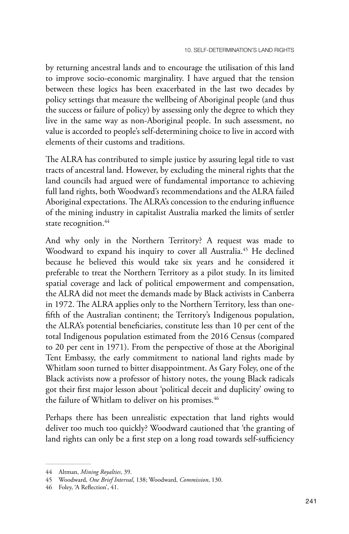by returning ancestral lands and to encourage the utilisation of this land to improve socio-economic marginality. I have argued that the tension between these logics has been exacerbated in the last two decades by policy settings that measure the wellbeing of Aboriginal people (and thus the success or failure of policy) by assessing only the degree to which they live in the same way as non-Aboriginal people. In such assessment, no value is accorded to people's self-determining choice to live in accord with elements of their customs and traditions.

The ALRA has contributed to simple justice by assuring legal title to vast tracts of ancestral land. However, by excluding the mineral rights that the land councils had argued were of fundamental importance to achieving full land rights, both Woodward's recommendations and the ALRA failed Aboriginal expectations. The ALRA's concession to the enduring influence of the mining industry in capitalist Australia marked the limits of settler state recognition.<sup>44</sup>

And why only in the Northern Territory? A request was made to Woodward to expand his inquiry to cover all Australia.<sup>45</sup> He declined because he believed this would take six years and he considered it preferable to treat the Northern Territory as a pilot study. In its limited spatial coverage and lack of political empowerment and compensation, the ALRA did not meet the demands made by Black activists in Canberra in 1972. The ALRA applies only to the Northern Territory, less than onefifth of the Australian continent; the Territory's Indigenous population, the ALRA's potential beneficiaries, constitute less than 10 per cent of the total Indigenous population estimated from the 2016 Census (compared to 20 per cent in 1971). From the perspective of those at the Aboriginal Tent Embassy, the early commitment to national land rights made by Whitlam soon turned to bitter disappointment. As Gary Foley, one of the Black activists now a professor of history notes, the young Black radicals got their first major lesson about 'political deceit and duplicity' owing to the failure of Whitlam to deliver on his promises.<sup>46</sup>

Perhaps there has been unrealistic expectation that land rights would deliver too much too quickly? Woodward cautioned that 'the granting of land rights can only be a first step on a long road towards self-sufficiency

<sup>44</sup> Altman, *Mining Royalties*, 39.

<sup>45</sup> Woodward, *One Brief Interval*, 138; Woodward, *Commission*, 130.

<sup>46</sup> Foley, 'A Reflection', 41.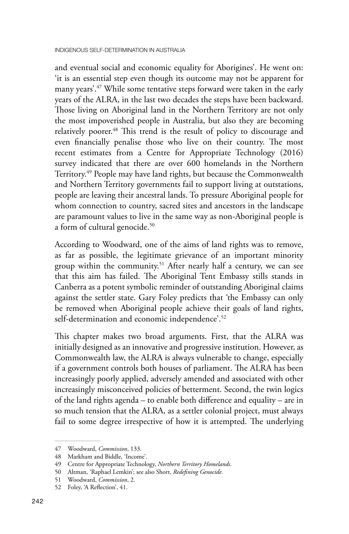and eventual social and economic equality for Aborigines'. He went on: 'it is an essential step even though its outcome may not be apparent for many years'.47 While some tentative steps forward were taken in the early years of the ALRA, in the last two decades the steps have been backward. Those living on Aboriginal land in the Northern Territory are not only the most impoverished people in Australia, but also they are becoming relatively poorer.48 This trend is the result of policy to discourage and even financially penalise those who live on their country. The most recent estimates from a Centre for Appropriate Technology (2016) survey indicated that there are over 600 homelands in the Northern Territory.<sup>49</sup> People may have land rights, but because the Commonwealth and Northern Territory governments fail to support living at outstations, people are leaving their ancestral lands. To pressure Aboriginal people for whom connection to country, sacred sites and ancestors in the landscape are paramount values to live in the same way as non-Aboriginal people is a form of cultural genocide.<sup>50</sup>

According to Woodward, one of the aims of land rights was to remove, as far as possible, the legitimate grievance of an important minority group within the community.<sup>51</sup> After nearly half a century, we can see that this aim has failed. The Aboriginal Tent Embassy stills stands in Canberra as a potent symbolic reminder of outstanding Aboriginal claims against the settler state. Gary Foley predicts that 'the Embassy can only be removed when Aboriginal people achieve their goals of land rights, self-determination and economic independence'.52

This chapter makes two broad arguments. First, that the ALRA was initially designed as an innovative and progressive institution. However, as Commonwealth law, the ALRA is always vulnerable to change, especially if a government controls both houses of parliament. The ALRA has been increasingly poorly applied, adversely amended and associated with other increasingly misconceived policies of betterment. Second, the twin logics of the land rights agenda – to enable both difference and equality – are in so much tension that the ALRA, as a settler colonial project, must always fail to some degree irrespective of how it is attempted. The underlying

<sup>47</sup> Woodward, *Commission*, 133.

<sup>48</sup> Markham and Biddle, 'Income'.

<sup>49</sup> Centre for Appropriate Technology, *Northern Territory Homelands*.

<sup>50</sup> Altman, 'Raphael Lemkin'; see also Short, *Redefining Genocide*.

<sup>51</sup> Woodward, *Commission*, 2.

<sup>52</sup> Foley, 'A Reflection', 41.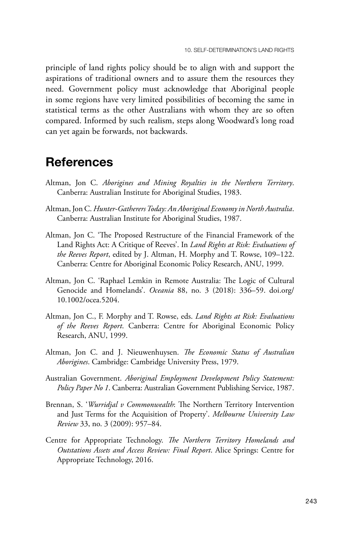principle of land rights policy should be to align with and support the aspirations of traditional owners and to assure them the resources they need. Government policy must acknowledge that Aboriginal people in some regions have very limited possibilities of becoming the same in statistical terms as the other Australians with whom they are so often compared. Informed by such realism, steps along Woodward's long road can yet again be forwards, not backwards.

#### **References**

- Altman, Jon C. *Aborigines and Mining Royalties in the Northern Territory*. Canberra: Australian Institute for Aboriginal Studies, 1983.
- Altman, Jon C. *Hunter-Gatherers Today: An Aboriginal Economy in North Australia*. Canberra: Australian Institute for Aboriginal Studies, 1987.
- Altman, Jon C. 'The Proposed Restructure of the Financial Framework of the Land Rights Act: A Critique of Reeves'. In *Land Rights at Risk: Evaluations of the Reeves Report*, edited by J. Altman, H. Morphy and T. Rowse, 109–122. Canberra: Centre for Aboriginal Economic Policy Research, ANU, 1999.
- Altman, Jon C. 'Raphael Lemkin in Remote Australia: The Logic of Cultural Genocide and Homelands'. *Oceania* 88, no. 3 (2018): 336–59. [doi.org/](http://doi.org/10.1002/ocea.5204) [10.1002/ocea.5204.](http://doi.org/10.1002/ocea.5204)
- Altman, Jon C., F. Morphy and T. Rowse, eds. *Land Rights at Risk: Evaluations of the Reeves Report*. Canberra: Centre for Aboriginal Economic Policy Research, ANU, 1999.
- Altman, Jon C. and J. Nieuwenhuysen. *The Economic Status of Australian Aborigines*. Cambridge: Cambridge University Press, 1979.
- Australian Government. *Aboriginal Employment Development Policy Statement: Policy Paper No 1*. Canberra: Australian Government Publishing Service, 1987.
- Brennan, S. '*Wurridjal v Commonwealth*: The Northern Territory Intervention and Just Terms for the Acquisition of Property'. *Melbourne University Law Review* 33, no. 3 (2009): 957–84.
- Centre for Appropriate Technology. *The Northern Territory Homelands and Outstations Assets and Access Review: Final Report*. Alice Springs: Centre for Appropriate Technology, 2016.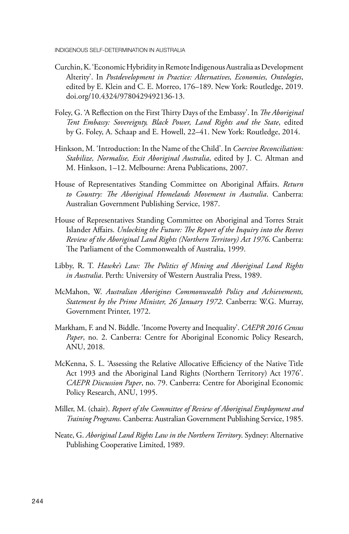- Curchin, K. 'Economic Hybridity in Remote Indigenous Australia as Development Alterity'. In *Postdevelopment in Practice: Alternatives, Economies, Ontologies*, edited by E. Klein and C. E. Morreo, 176–189. New York: Routledge, 2019. [doi.org/10.4324/9780429492136-13](http://doi.org/10.4324/9780429492136-13).
- Foley, G. 'A Reflection on the First Thirty Days of the Embassy'. In *The Aboriginal Tent Embassy: Sovereignty, Black Power, Land Rights and the State*, edited by G. Foley, A. Schaap and E. Howell, 22–41. New York: Routledge, 2014.
- Hinkson, M. 'Introduction: In the Name of the Child'. In *Coercive Reconciliation: Stabilize, Normalise, Exit Aboriginal Australia*, edited by J. C. Altman and M. Hinkson, 1–12. Melbourne: Arena Publications, 2007.
- House of Representatives Standing Committee on Aboriginal Affairs. *Return to Country: The Aboriginal Homelands Movement in Australia*. Canberra: Australian Government Publishing Service, 1987.
- House of Representatives Standing Committee on Aboriginal and Torres Strait Islander Affairs. *Unlocking the Future: The Report of the Inquiry into the Reeves Review of the Aboriginal Land Rights (Northern Territory) Act 1976*. Canberra: The Parliament of the Commonwealth of Australia, 1999.
- Libby, R. T. *Hawke's Law: The Politics of Mining and Aboriginal Land Rights in Australia*. Perth: University of Western Australia Press, 1989.
- McMahon, W. *Australian Aborigines Commonwealth Policy and Achievements, Statement by the Prime Minister, 26 January 1972*. Canberra: W.G. Murray, Government Printer, 1972.
- Markham, F. and N. Biddle. 'Income Poverty and Inequality'. *CAEPR 2016 Census Paper*, no. 2. Canberra: Centre for Aboriginal Economic Policy Research, ANU, 2018.
- McKenna, S. L. 'Assessing the Relative Allocative Efficiency of the Native Title Act 1993 and the Aboriginal Land Rights (Northern Territory) Act 1976'. *CAEPR Discussion Paper*, no. 79. Canberra: Centre for Aboriginal Economic Policy Research, ANU, 1995.
- Miller, M. (chair). *Report of the Committee of Review of Aboriginal Employment and Training Programs.* Canberra: Australian Government Publishing Service, 1985.
- Neate, G. *Aboriginal Land Rights Law in the Northern Territory*. Sydney: Alternative Publishing Cooperative Limited, 1989.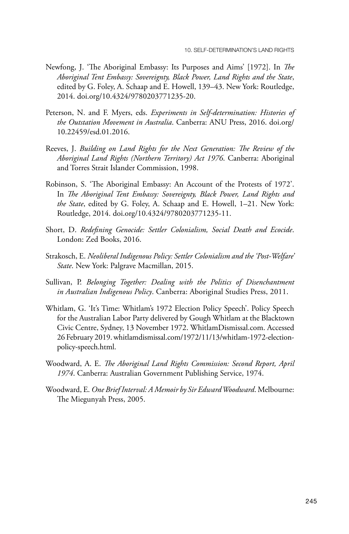- Newfong, J. 'The Aboriginal Embassy: Its Purposes and Aims' [1972]. In *The Aboriginal Tent Embassy: Sovereignty, Black Power, Land Rights and the State*, edited by G. Foley, A. Schaap and E. Howell, 139–43. New York: Routledge, 2014. [doi.org/10.4324/9780203771235-20.](http://doi.org/10.4324/9780203771235-20)
- Peterson, N. and F. Myers, eds. *Experiments in Self-determination: Histories of the Outstation Movement in Australia*. Canberra: ANU Press, 2016. [doi.org/](http://doi.org/10.22459/esd.01.2016) [10.22459/esd.01.2016.](http://doi.org/10.22459/esd.01.2016)
- Reeves, J. *Building on Land Rights for the Next Generation: The Review of the Aboriginal Land Rights (Northern Territory) Act 1976*. Canberra: Aboriginal and Torres Strait Islander Commission, 1998.
- Robinson, S. 'The Aboriginal Embassy: An Account of the Protests of 1972'. In *The Aboriginal Tent Embassy: Sovereignty, Black Power, Land Rights and the State*, edited by G. Foley, A. Schaap and E. Howell, 1–21. New York: Routledge, 2014. [doi.org/10.4324/9780203771235-11](http://doi.org/10.4324/9780203771235-11).
- Short, D. *Redefining Genocide: Settler Colonialism, Social Death and Ecocide*. London: Zed Books, 2016.
- Strakosch, E. *Neoliberal Indigenous Policy: Settler Colonialism and the 'Post-Welfare' State*. New York: Palgrave Macmillan, 2015.
- Sullivan, P. *Belonging Together: Dealing with the Politics of Disenchantment in Australian Indigenous Policy*. Canberra: Aboriginal Studies Press, 2011.
- Whitlam, G. 'It's Time: Whitlam's 1972 Election Policy Speech'. Policy Speech for the Australian Labor Party delivered by Gough Whitlam at the Blacktown Civic Centre, Sydney, 13 November 1972. WhitlamDismissal.com. Accessed 26 February 2019. [whitlamdismissal.com/1972/11/13/whitlam-1972-election](http://whitlamdismissal.com/1972/11/13/whitlam-1972-election-policy-speech.html)[policy-speech.html](http://whitlamdismissal.com/1972/11/13/whitlam-1972-election-policy-speech.html).
- Woodward, A. E. *The Aboriginal Land Rights Commission: Second Report, April 1974*. Canberra: Australian Government Publishing Service, 1974.
- Woodward, E. *One Brief Interval: A Memoir by Sir Edward Woodward*. Melbourne: The Miegunyah Press, 2005.